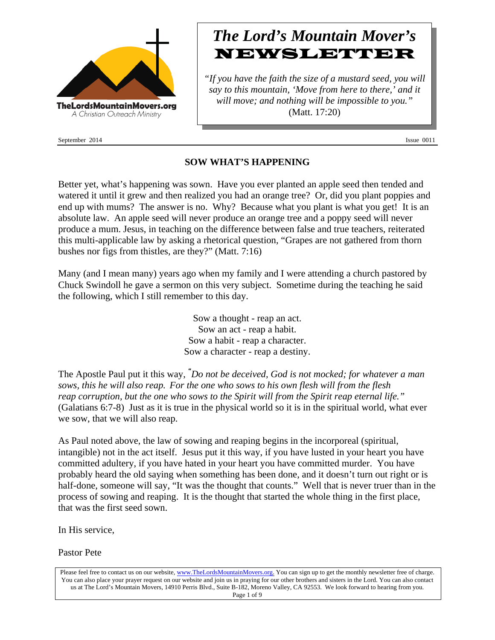

September 2014 Issue 0011

# *The Lord's Mountain Mover's* **NEWSLETTER**

*"If you have the faith the size of a mustard seed, you will say to this mountain, 'Move from here to there,' and it will move; and nothing will be impossible to you."* (Matt. 17:20)

## **SOW WHAT'S HAPPENING**

Better yet, what's happening was sown. Have you ever planted an apple seed then tended and watered it until it grew and then realized you had an orange tree? Or, did you plant poppies and end up with mums? The answer is no. Why? Because what you plant is what you get! It is an absolute law. An apple seed will never produce an orange tree and a poppy seed will never produce a mum. Jesus, in teaching on the difference between false and true teachers, reiterated this multi-applicable law by asking a rhetorical question, "Grapes are not gathered from thorn bushes nor figs from thistles, are they?" (Matt. 7:16)

Many (and I mean many) years ago when my family and I were attending a church pastored by Chuck Swindoll he gave a sermon on this very subject. Sometime during the teaching he said the following, which I still remember to this day.

> Sow a thought - reap an act. Sow an act - reap a habit. Sow a habit - reap a character. Sow a character - reap a destiny.

The Apostle Paul put it this way, *" Do not be deceived, God is not mocked; for whatever a man sows, this he will also reap. For the one who sows to his own flesh will from the flesh reap corruption, but the one who sows to the Spirit will from the Spirit reap eternal life."* (Galatians 6:7-8) Just as it is true in the physical world so it is in the spiritual world, what ever we sow, that we will also reap.

As Paul noted above, the law of sowing and reaping begins in the incorporeal (spiritual, intangible) not in the act itself. Jesus put it this way, if you have lusted in your heart you have committed adultery, if you have hated in your heart you have committed murder. You have probably heard the old saying when something has been done, and it doesn't turn out right or is half-done, someone will say, "It was the thought that counts." Well that is never truer than in the process of sowing and reaping. It is the thought that started the whole thing in the first place, that was the first seed sown.

In His service,

Pastor Pete

Please feel free to contact us on our website, www.TheLordsMountainMovers.org. You can sign up to get the monthly newsletter free of charge. You can also place your prayer request on our website and join us in praying for our other brothers and sisters in the Lord. You can also contact us at The Lord's Mountain Movers, 14910 Perris Blvd., Suite B-182, Moreno Valley, CA 92553. We look forward to hearing from you. Page 1 of 9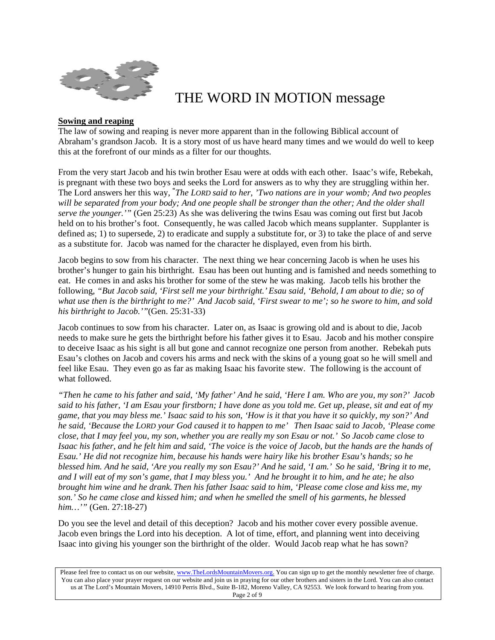

## THE WORD IN MOTION message

#### **Sowing and reaping**

The law of sowing and reaping is never more apparent than in the following Biblical account of Abraham's grandson Jacob. It is a story most of us have heard many times and we would do well to keep this at the forefront of our minds as a filter for our thoughts.

From the very start Jacob and his twin brother Esau were at odds with each other. Isaac's wife, Rebekah, is pregnant with these two boys and seeks the Lord for answers as to why they are struggling within her. The Lord answers her this way, **"** *The LORD said to her, 'Two nations are in your womb; And two peoples will be separated from your body; And one people shall be stronger than the other; And the older shall serve the younger.'"* (Gen 25:23) As she was delivering the twins Esau was coming out first but Jacob held on to his brother's foot. Consequently, he was called Jacob which means supplanter. Supplanter is defined as; 1) to supersede, 2) to eradicate and supply a substitute for, or 3) to take the place of and serve as a substitute for. Jacob was named for the character he displayed, even from his birth.

Jacob begins to sow from his character. The next thing we hear concerning Jacob is when he uses his brother's hunger to gain his birthright. Esau has been out hunting and is famished and needs something to eat. He comes in and asks his brother for some of the stew he was making. Jacob tells his brother the following, *"But Jacob said, 'First sell me your birthright.' Esau said, 'Behold, I am about to die; so of what use then is the birthright to me?' And Jacob said, 'First swear to me'; so he swore to him, and sold his birthright to Jacob.'"*(Gen. 25:31-33)

Jacob continues to sow from his character. Later on, as Isaac is growing old and is about to die, Jacob needs to make sure he gets the birthright before his father gives it to Esau. Jacob and his mother conspire to deceive Isaac as his sight is all but gone and cannot recognize one person from another. Rebekah puts Esau's clothes on Jacob and covers his arms and neck with the skins of a young goat so he will smell and feel like Esau. They even go as far as making Isaac his favorite stew. The following is the account of what followed.

*"Then he came to his father and said, 'My father' And he said, 'Here I am. Who are you, my son?' Jacob said to his father, 'I am Esau your firstborn; I have done as you told me. Get up, please, sit and eat of my game, that you may bless me.' Isaac said to his son, 'How is it that you have it so quickly, my son?' And he said, 'Because the LORD your God caused it to happen to me' Then Isaac said to Jacob, 'Please come close, that I may feel you, my son, whether you are really my son Esau or not.' So Jacob came close to Isaac his father, and he felt him and said, 'The voice is the voice of Jacob, but the hands are the hands of Esau.' He did not recognize him, because his hands were hairy like his brother Esau's hands; so he blessed him. And he said, 'Are you really my son Esau?' And he said, 'I am.' So he said, 'Bring it to me, and I will eat of my son's game, that I may bless you.' And he brought it to him, and he ate; he also brought him wine and he drank. Then his father Isaac said to him, 'Please come close and kiss me, my son.' So he came close and kissed him; and when he smelled the smell of his garments, he blessed him…'"* (Gen. 27:18-27)

Do you see the level and detail of this deception? Jacob and his mother cover every possible avenue. Jacob even brings the Lord into his deception. A lot of time, effort, and planning went into deceiving Isaac into giving his younger son the birthright of the older. Would Jacob reap what he has sown?

Please feel free to contact us on our website, www.TheLordsMountainMovers.org. You can sign up to get the monthly newsletter free of charge. You can also place your prayer request on our website and join us in praying for our other brothers and sisters in the Lord. You can also contact us at The Lord's Mountain Movers, 14910 Perris Blvd., Suite B-182, Moreno Valley, CA 92553. We look forward to hearing from you. Page 2 of 9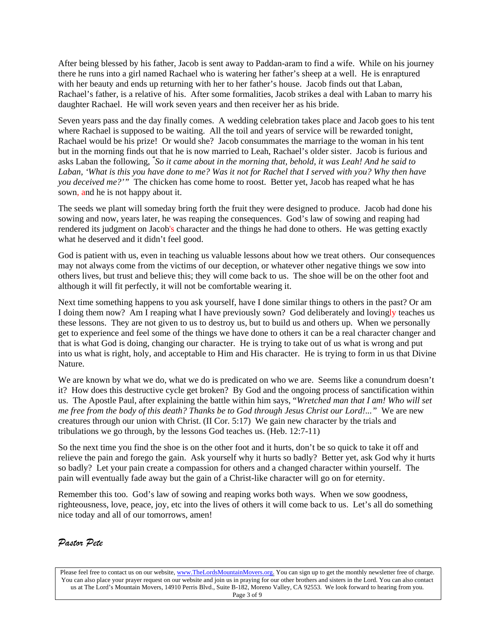After being blessed by his father, Jacob is sent away to Paddan-aram to find a wife. While on his journey there he runs into a girl named Rachael who is watering her father's sheep at a well. He is enraptured with her beauty and ends up returning with her to her father's house. Jacob finds out that Laban, Rachael's father, is a relative of his. After some formalities, Jacob strikes a deal with Laban to marry his daughter Rachael. He will work seven years and then receiver her as his bride.

Seven years pass and the day finally comes. A wedding celebration takes place and Jacob goes to his tent where Rachael is supposed to be waiting. All the toil and years of service will be rewarded tonight, Rachael would be his prize! Or would she? Jacob consummates the marriage to the woman in his tent but in the morning finds out that he is now married to Leah, Rachael's older sister. Jacob is furious and asks Laban the following, *" So it came about in the morning that, behold, it was Leah! And he said to Laban, 'What is this you have done to me? Was it not for Rachel that I served with you? Why then have you deceived me?'"* The chicken has come home to roost. Better yet, Jacob has reaped what he has sown, and he is not happy about it.

The seeds we plant will someday bring forth the fruit they were designed to produce. Jacob had done his sowing and now, years later, he was reaping the consequences. God's law of sowing and reaping had rendered its judgment on Jacob's character and the things he had done to others. He was getting exactly what he deserved and it didn't feel good.

God is patient with us, even in teaching us valuable lessons about how we treat others. Our consequences may not always come from the victims of our deception, or whatever other negative things we sow into others lives, but trust and believe this; they will come back to us. The shoe will be on the other foot and although it will fit perfectly, it will not be comfortable wearing it.

Next time something happens to you ask yourself, have I done similar things to others in the past? Or am I doing them now? Am I reaping what I have previously sown? God deliberately and lovingly teaches us these lessons. They are not given to us to destroy us, but to build us and others up. When we personally get to experience and feel some of the things we have done to others it can be a real character changer and that is what God is doing, changing our character. He is trying to take out of us what is wrong and put into us what is right, holy, and acceptable to Him and His character. He is trying to form in us that Divine Nature.

We are known by what we do, what we do is predicated on who we are. Seems like a conundrum doesn't it? How does this destructive cycle get broken? By God and the ongoing process of sanctification within us. The Apostle Paul, after explaining the battle within him says, "*Wretched man that I am! Who will set me free from the body of this death? Thanks be to God through Jesus Christ our Lord!..."* We are new creatures through our union with Christ. (II Cor. 5:17) We gain new character by the trials and tribulations we go through, by the lessons God teaches us. (Heb. 12:7-11)

So the next time you find the shoe is on the other foot and it hurts, don't be so quick to take it off and relieve the pain and forego the gain. Ask yourself why it hurts so badly? Better yet, ask God why it hurts so badly? Let your pain create a compassion for others and a changed character within yourself. The pain will eventually fade away but the gain of a Christ-like character will go on for eternity.

Remember this too. God's law of sowing and reaping works both ways. When we sow goodness, righteousness, love, peace, joy, etc into the lives of others it will come back to us. Let's all do something nice today and all of our tomorrows, amen!

### *Pastor Pete*

Please feel free to contact us on our website, www.TheLordsMountainMovers.org. You can sign up to get the monthly newsletter free of charge. You can also place your prayer request on our website and join us in praying for our other brothers and sisters in the Lord. You can also contact us at The Lord's Mountain Movers, 14910 Perris Blvd., Suite B-182, Moreno Valley, CA 92553. We look forward to hearing from you. Page 3 of 9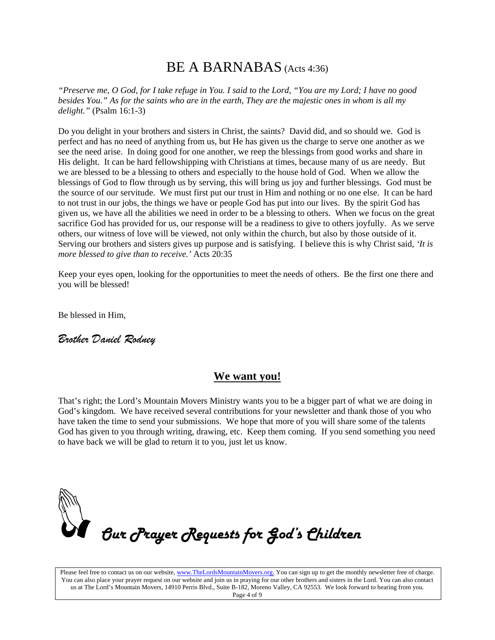## BE A BARNABAS (Acts 4:36)

*"Preserve me, O God, for I take refuge in You. I said to the Lord, "You are my Lord; I have no good besides You." As for the saints who are in the earth, They are the majestic ones in whom is all my delight."* (Psalm 16:1-3)

Do you delight in your brothers and sisters in Christ, the saints? David did, and so should we. God is perfect and has no need of anything from us, but He has given us the charge to serve one another as we see the need arise. In doing good for one another, we reep the blessings from good works and share in His delight. It can be hard fellowshipping with Christians at times, because many of us are needy. But we are blessed to be a blessing to others and especially to the house hold of God. When we allow the blessings of God to flow through us by serving, this will bring us joy and further blessings. God must be the source of our servitude. We must first put our trust in Him and nothing or no one else. It can be hard to not trust in our jobs, the things we have or people God has put into our lives. By the spirit God has given us, we have all the abilities we need in order to be a blessing to others. When we focus on the great sacrifice God has provided for us, our response will be a readiness to give to others joyfully. As we serve others, our witness of love will be viewed, not only within the church, but also by those outside of it. Serving our brothers and sisters gives up purpose and is satisfying. I believe this is why Christ said, *'It is more blessed to give than to receive.'* Acts 20:35

Keep your eyes open, looking for the opportunities to meet the needs of others. Be the first one there and you will be blessed!

Be blessed in Him,

## *Brother Daniel Rodney*

### **We want you!**

That's right; the Lord's Mountain Movers Ministry wants you to be a bigger part of what we are doing in God's kingdom. We have received several contributions for your newsletter and thank those of you who have taken the time to send your submissions. We hope that more of you will share some of the talents God has given to you through writing, drawing, etc. Keep them coming. If you send something you need to have back we will be glad to return it to you, just let us know.



Please feel free to contact us on our website, www.TheLordsMountainMovers.org. You can sign up to get the monthly newsletter free of charge. You can also place your prayer request on our website and join us in praying for our other brothers and sisters in the Lord. You can also contact us at The Lord's Mountain Movers, 14910 Perris Blvd., Suite B-182, Moreno Valley, CA 92553. We look forward to hearing from you. Page 4 of 9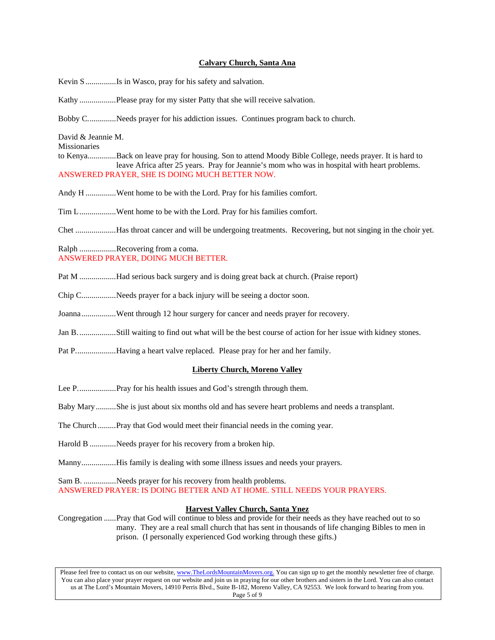#### **Calvary Church, Santa Ana**

Kevin S ...............Is in Wasco, pray for his safety and salvation.

- Kathy ..................Please pray for my sister Patty that she will receive salvation.
- Bobby C..............Needs prayer for his addiction issues. Continues program back to church.

David & Jeannie M.

Missionaries

- to Kenya..............Back on leave pray for housing. Son to attend Moody Bible College, needs prayer. It is hard to leave Africa after 25 years. Pray for Jeannie's mom who was in hospital with heart problems. ANSWERED PRAYER, SHE IS DOING MUCH BETTER NOW.
- Andy H ...............Went home to be with the Lord. Pray for his families comfort.
- Tim L..................Went home to be with the Lord. Pray for his families comfort.

Chet ....................Has throat cancer and will be undergoing treatments. Recovering, but not singing in the choir yet.

Ralph .................Recovering from a coma. ANSWERED PRAYER, DOING MUCH BETTER.

- Pat M ..................Had serious back surgery and is doing great back at church. (Praise report)
- Chip C.................Needs prayer for a back injury will be seeing a doctor soon.
- Joanna.................Went through 12 hour surgery for cancer and needs prayer for recovery.
- Jan B...................Still waiting to find out what will be the best course of action for her issue with kidney stones.
- Pat P....................Having a heart valve replaced. Please pray for her and her family.

#### **Liberty Church, Moreno Valley**

- Lee P...................Pray for his health issues and God's strength through them.
- Baby Mary..........She is just about six months old and has severe heart problems and needs a transplant.
- The Church .........Pray that God would meet their financial needs in the coming year.
- Harold B .............Needs prayer for his recovery from a broken hip.
- Manny.................His family is dealing with some illness issues and needs your prayers.

Sam B. ................Needs prayer for his recovery from health problems.

ANSWERED PRAYER: IS DOING BETTER AND AT HOME. STILL NEEDS YOUR PRAYERS.

#### **Harvest Valley Church, Santa Ynez**

Congregation ......Pray that God will continue to bless and provide for their needs as they have reached out to so many. They are a real small church that has sent in thousands of life changing Bibles to men in prison. (I personally experienced God working through these gifts.)

Please feel free to contact us on our website, www.TheLordsMountainMovers.org. You can sign up to get the monthly newsletter free of charge. You can also place your prayer request on our website and join us in praying for our other brothers and sisters in the Lord. You can also contact us at The Lord's Mountain Movers, 14910 Perris Blvd., Suite B-182, Moreno Valley, CA 92553. We look forward to hearing from you. Page 5 of 9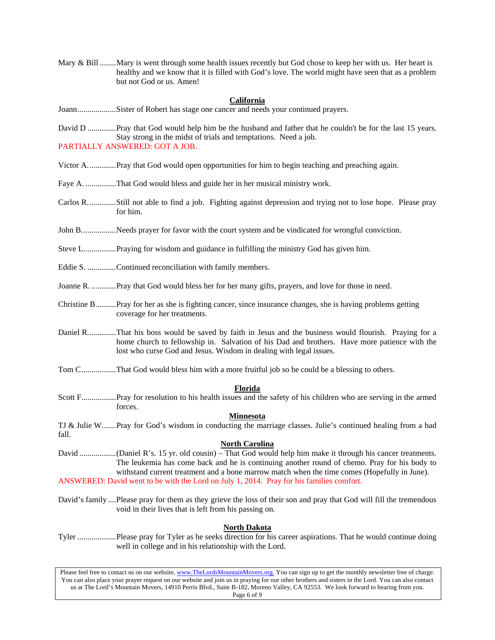Mary & Bill ........Mary is went through some health issues recently but God chose to keep her with us. Her heart is healthy and we know that it is filled with God's love. The world might have seen that as a problem but not God or us. Amen!

#### **California**

Joann...................Sister of Robert has stage one cancer and needs your continued prayers.

David D ..............Pray that God would help him be the husband and father that he couldn't be for the last 15 years. Stay strong in the midst of trials and temptations. Need a job. PARTIALLY ANSWERED: GOT A JOB.

- Victor A..............Pray that God would open opportunities for him to begin teaching and preaching again.
- Faye A. ...............That God would bless and guide her in her musical ministry work.
- Carlos R..............Still not able to find a job. Fighting against depression and trying not to lose hope. Please pray for him.
- John B.................Needs prayer for favor with the court system and be vindicated for wrongful conviction.
- Steve L................Praying for wisdom and guidance in fulfilling the ministry God has given him.
- Eddie S. ..............Continued reconciliation with family members.
- Joanne R. ............Pray that God would bless her for her many gifts, prayers, and love for those in need.
- Christine B..........Pray for her as she is fighting cancer, since insurance changes, she is having problems getting coverage for her treatments.
- Daniel R..............That his boss would be saved by faith in Jesus and the business would flourish. Praying for a home church to fellowship in. Salvation of his Dad and brothers. Have more patience with the lost who curse God and Jesus. Wisdom in dealing with legal issues.
- Tom C.................That God would bless him with a more fruitful job so he could be a blessing to others.

#### **Florida**

Scott F.................Pray for resolution to his health issues and the safety of his children who are serving in the armed forces.

#### **Minnesota**

TJ & Julie W.......Pray for God's wisdom in conducting the marriage classes. Julie's continued healing from a bad fall.

#### **North Carolina**

- David ..................(Daniel R's. 15 yr. old cousin) That God would help him make it through his cancer treatments. The leukemia has come back and he is continuing another round of chemo. Pray for his body to withstand current treatment and a bone marrow match when the time comes (Hopefully in June). ANSWERED: David went to be with the Lord on July 1, 2014. Pray for his families comfort.
- David's family ....Please pray for them as they grieve the loss of their son and pray that God will fill the tremendous void in their lives that is left from his passing on.

#### **North Dakota**

Tyler ...................Please pray for Tyler as he seeks direction for his career aspirations. That he would continue doing well in college and in his relationship with the Lord.

Please feel free to contact us on our website, www.TheLordsMountainMovers.org. You can sign up to get the monthly newsletter free of charge. You can also place your prayer request on our website and join us in praying for our other brothers and sisters in the Lord. You can also contact us at The Lord's Mountain Movers, 14910 Perris Blvd., Suite B-182, Moreno Valley, CA 92553. We look forward to hearing from you. Page 6 of 9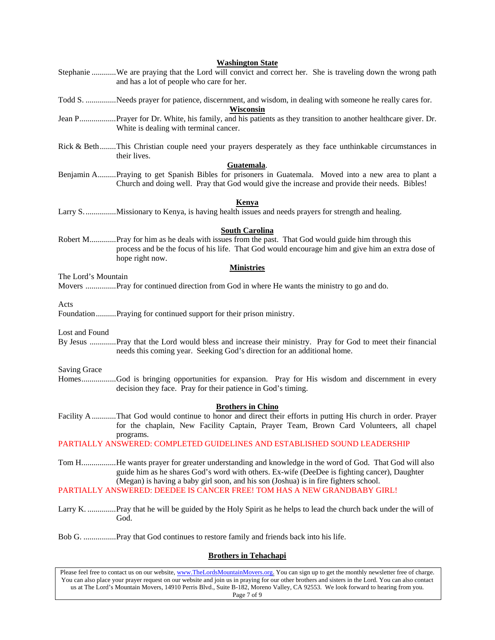|                                                                                                                                                                                                                                                                                                  | <b>Washington State</b><br>Stephanie We are praying that the Lord will convict and correct her. She is traveling down the wrong path<br>and has a lot of people who care for her.                                                                                                           |
|--------------------------------------------------------------------------------------------------------------------------------------------------------------------------------------------------------------------------------------------------------------------------------------------------|---------------------------------------------------------------------------------------------------------------------------------------------------------------------------------------------------------------------------------------------------------------------------------------------|
|                                                                                                                                                                                                                                                                                                  | Todd S. Needs prayer for patience, discernment, and wisdom, in dealing with someone he really cares for.<br>Wisconsin                                                                                                                                                                       |
|                                                                                                                                                                                                                                                                                                  | Jean PPrayer for Dr. White, his family, and his patients as they transition to another healthcare giver. Dr.<br>White is dealing with terminal cancer.                                                                                                                                      |
|                                                                                                                                                                                                                                                                                                  | Rick & BethThis Christian couple need your prayers desperately as they face unthinkable circumstances in<br>their lives.                                                                                                                                                                    |
|                                                                                                                                                                                                                                                                                                  | Guatemala.<br>Benjamin APraying to get Spanish Bibles for prisoners in Guatemala. Moved into a new area to plant a<br>Church and doing well. Pray that God would give the increase and provide their needs. Bibles!                                                                         |
|                                                                                                                                                                                                                                                                                                  | <b>Kenya</b><br>Larry SMissionary to Kenya, is having health issues and needs prayers for strength and healing.                                                                                                                                                                             |
|                                                                                                                                                                                                                                                                                                  | <b>South Carolina</b><br>Robert MPray for him as he deals with issues from the past. That God would guide him through this<br>process and be the focus of his life. That God would encourage him and give him an extra dose of<br>hope right now.                                           |
|                                                                                                                                                                                                                                                                                                  | <b>Ministries</b>                                                                                                                                                                                                                                                                           |
| The Lord's Mountain                                                                                                                                                                                                                                                                              | Movers  Pray for continued direction from God in where He wants the ministry to go and do.                                                                                                                                                                                                  |
| Acts                                                                                                                                                                                                                                                                                             | FoundationPraying for continued support for their prison ministry.                                                                                                                                                                                                                          |
| Lost and Found                                                                                                                                                                                                                                                                                   | By Jesus Pray that the Lord would bless and increase their ministry. Pray for God to meet their financial<br>needs this coming year. Seeking God's direction for an additional home.                                                                                                        |
| <b>Saving Grace</b>                                                                                                                                                                                                                                                                              |                                                                                                                                                                                                                                                                                             |
|                                                                                                                                                                                                                                                                                                  | HomesGod is bringing opportunities for expansion. Pray for His wisdom and discernment in every<br>decision they face. Pray for their patience in God's timing.                                                                                                                              |
|                                                                                                                                                                                                                                                                                                  | <b>Brothers in Chino</b><br>Facility AThat God would continue to honor and direct their efforts in putting His church in order. Prayer<br>for the chaplain, New Facility Captain, Prayer Team, Brown Card Volunteers, all chapel                                                            |
|                                                                                                                                                                                                                                                                                                  | programs.<br>PARTIALLY ANSWERED: COMPLETED GUIDELINES AND ESTABLISHED SOUND LEADERSHIP                                                                                                                                                                                                      |
|                                                                                                                                                                                                                                                                                                  | Tom HHe wants prayer for greater understanding and knowledge in the word of God. That God will also<br>guide him as he shares God's word with others. Ex-wife (DeeDee is fighting cancer), Daughter<br>(Megan) is having a baby girl soon, and his son (Joshua) is in fire fighters school. |
|                                                                                                                                                                                                                                                                                                  | PARTIALLY ANSWERED: DEEDEE IS CANCER FREE! TOM HAS A NEW GRANDBABY GIRL!                                                                                                                                                                                                                    |
|                                                                                                                                                                                                                                                                                                  | Larry K. Pray that he will be guided by the Holy Spirit as he helps to lead the church back under the will of<br>God.                                                                                                                                                                       |
|                                                                                                                                                                                                                                                                                                  |                                                                                                                                                                                                                                                                                             |
| <b>Brothers in Tehachapi</b>                                                                                                                                                                                                                                                                     |                                                                                                                                                                                                                                                                                             |
| Please feel free to contact us on our website, www.TheLordsMountainMovers.org. You can sign up to get the monthly newsletter free of charge.<br>You can also place your prayer request on our website and join us in praying for our other brothers and sisters in the Lord You can also contact |                                                                                                                                                                                                                                                                                             |

You can also place your prayer request on our website and join us in praying for our other brothers and sisters in the Lord. You can also contact us at The Lord's Mountain Movers, 14910 Perris Blvd., Suite B-182, Moreno Valley, CA 92553. We look forward to hearing from you.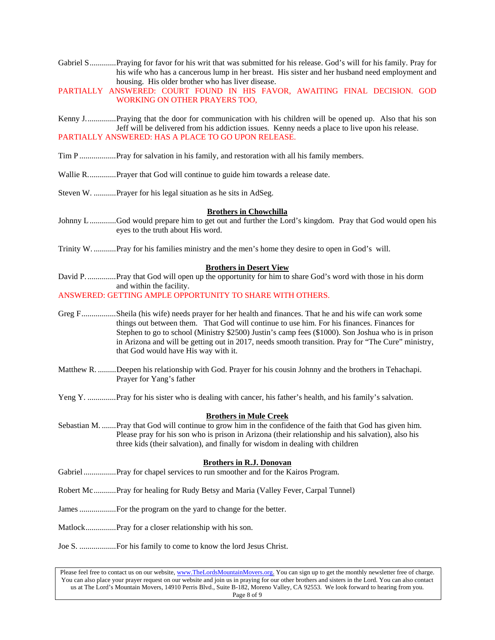- Gabriel S.............Praying for favor for his writ that was submitted for his release. God's will for his family. Pray for his wife who has a cancerous lump in her breast. His sister and her husband need employment and housing. His older brother who has liver disease.
- PARTIALLY ANSWERED: COURT FOUND IN HIS FAVOR, AWAITING FINAL DECISION. GOD WORKING ON OTHER PRAYERS TOO,
- Kenny J...............Praying that the door for communication with his children will be opened up. Also that his son Jeff will be delivered from his addiction issues. Kenny needs a place to live upon his release. PARTIALLY ANSWERED: HAS A PLACE TO GO UPON RELEASE.
- Tim P ..................Pray for salvation in his family, and restoration with all his family members.
- Wallie R..............Prayer that God will continue to guide him towards a release date.
- Steven W. ...........Prayer for his legal situation as he sits in AdSeg.

#### **Brothers in Chowchilla**

- Johnny L .............God would prepare him to get out and further the Lord's kingdom. Pray that God would open his eyes to the truth about His word.
- Trinity W. ...........Pray for his families ministry and the men's home they desire to open in God's will.

#### **Brothers in Desert View**

David P. ..............Pray that God will open up the opportunity for him to share God's word with those in his dorm and within the facility.

ANSWERED: GETTING AMPLE OPPORTUNITY TO SHARE WITH OTHERS.

- Greg F.................Sheila (his wife) needs prayer for her health and finances. That he and his wife can work some things out between them. That God will continue to use him. For his finances. Finances for Stephen to go to school (Ministry \$2500) Justin's camp fees (\$1000). Son Joshua who is in prison in Arizona and will be getting out in 2017, needs smooth transition. Pray for "The Cure" ministry, that God would have His way with it.
- Matthew R. .........Deepen his relationship with God. Prayer for his cousin Johnny and the brothers in Tehachapi. Prayer for Yang's father
- Yeng Y. ................Pray for his sister who is dealing with cancer, his father's health, and his family's salvation.

#### **Brothers in Mule Creek**

Sebastian M. .......Pray that God will continue to grow him in the confidence of the faith that God has given him. Please pray for his son who is prison in Arizona (their relationship and his salvation), also his three kids (their salvation), and finally for wisdom in dealing with children

#### **Brothers in R.J. Donovan**

- Gabriel ................Pray for chapel services to run smoother and for the Kairos Program.
- Robert Mc...........Pray for healing for Rudy Betsy and Maria (Valley Fever, Carpal Tunnel)
- James ..................For the program on the yard to change for the better.
- Matlock...............Pray for a closer relationship with his son.
- Joe S. ..................For his family to come to know the lord Jesus Christ.

Please feel free to contact us on our website, www.TheLordsMountainMovers.org. You can sign up to get the monthly newsletter free of charge. You can also place your prayer request on our website and join us in praying for our other brothers and sisters in the Lord. You can also contact us at The Lord's Mountain Movers, 14910 Perris Blvd., Suite B-182, Moreno Valley, CA 92553. We look forward to hearing from you. Page 8 of 9